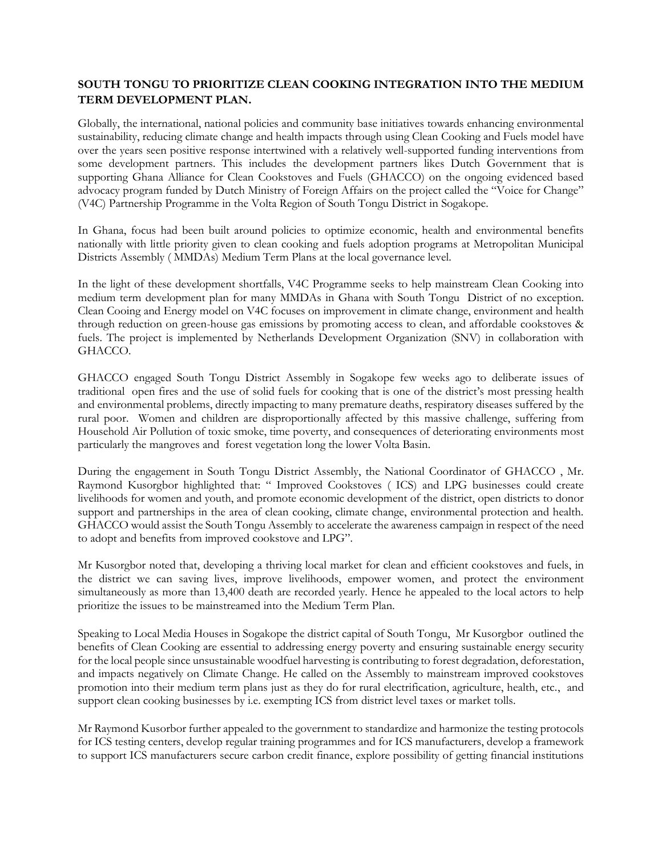## **SOUTH TONGU TO PRIORITIZE CLEAN COOKING INTEGRATION INTO THE MEDIUM TERM DEVELOPMENT PLAN.**

Globally, the international, national policies and community base initiatives towards enhancing environmental sustainability, reducing climate change and health impacts through using Clean Cooking and Fuels model have over the years seen positive response intertwined with a relatively well-supported funding interventions from some development partners. This includes the development partners likes Dutch Government that is supporting Ghana Alliance for Clean Cookstoves and Fuels (GHACCO) on the ongoing evidenced based advocacy program funded by Dutch Ministry of Foreign Affairs on the project called the "Voice for Change" (V4C) Partnership Programme in the Volta Region of South Tongu District in Sogakope.

In Ghana, focus had been built around policies to optimize economic, health and environmental benefits nationally with little priority given to clean cooking and fuels adoption programs at Metropolitan Municipal Districts Assembly ( MMDAs) Medium Term Plans at the local governance level.

In the light of these development shortfalls, V4C Programme seeks to help mainstream Clean Cooking into medium term development plan for many MMDAs in Ghana with South Tongu District of no exception. Clean Cooing and Energy model on V4C focuses on improvement in climate change, environment and health through reduction on green-house gas emissions by promoting access to clean, and affordable cookstoves & fuels. The project is implemented by Netherlands Development Organization (SNV) in collaboration with GHACCO.

GHACCO engaged South Tongu District Assembly in Sogakope few weeks ago to deliberate issues of traditional open fires and the use of solid fuels for cooking that is one of the district's most pressing health and environmental problems, directly impacting to many premature deaths, respiratory diseases suffered by the rural poor. Women and children are disproportionally affected by this massive challenge, suffering from Household Air Pollution of toxic smoke, time poverty, and consequences of deteriorating environments most particularly the mangroves and forest vegetation long the lower Volta Basin.

During the engagement in South Tongu District Assembly, the National Coordinator of GHACCO , Mr. Raymond Kusorgbor highlighted that: " Improved Cookstoves ( ICS) and LPG businesses could create livelihoods for women and youth, and promote economic development of the district, open districts to donor support and partnerships in the area of clean cooking, climate change, environmental protection and health. GHACCO would assist the South Tongu Assembly to accelerate the awareness campaign in respect of the need to adopt and benefits from improved cookstove and LPG".

Mr Kusorgbor noted that, developing a thriving local market for clean and efficient cookstoves and fuels, in the district we can saving lives, improve livelihoods, empower women, and protect the environment simultaneously as more than 13,400 death are recorded yearly. Hence he appealed to the local actors to help prioritize the issues to be mainstreamed into the Medium Term Plan.

Speaking to Local Media Houses in Sogakope the district capital of South Tongu, Mr Kusorgbor outlined the benefits of Clean Cooking are essential to addressing energy poverty and ensuring sustainable energy security for the local people since unsustainable woodfuel harvesting is contributing to forest degradation, deforestation, and impacts negatively on Climate Change. He called on the Assembly to mainstream improved cookstoves promotion into their medium term plans just as they do for rural electrification, agriculture, health, etc., and support clean cooking businesses by i.e. exempting ICS from district level taxes or market tolls.

Mr Raymond Kusorbor further appealed to the government to standardize and harmonize the testing protocols for ICS testing centers, develop regular training programmes and for ICS manufacturers, develop a framework to support ICS manufacturers secure carbon credit finance, explore possibility of getting financial institutions